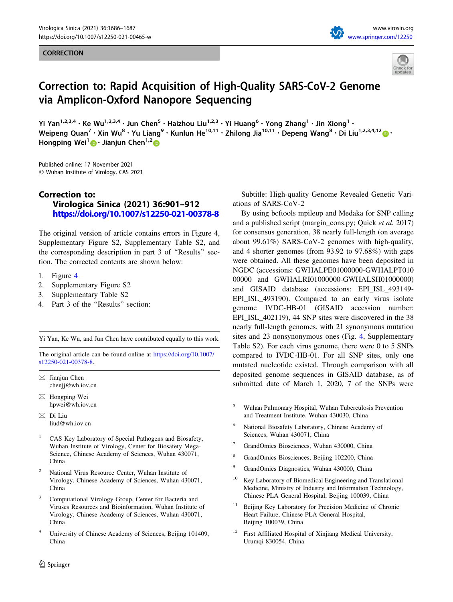## **CORRECTION**





## Correction to: Rapid Acquisition of High-Quality SARS-CoV-2 Genome via Amplicon-Oxford Nanopore Sequencing

Yi Yan<sup>1,2,3,4</sup> • Ke Wu<sup>1,2,3,4</sup> • Jun Chen<sup>5</sup> • Haizhou Liu<sup>1,2,3</sup> • Yi Huang<sup>6</sup> • Yong Zhang<sup>1</sup> • Jin Xiong<sup>1</sup> • Weipeng Quan<sup>7</sup> • Xin Wu<sup>8</sup> • Yu Liang<sup>9</sup> • Kunlun He<sup>10,11</sup> • Zhilong Jia<sup>10,11</sup> • Depeng Wang<sup>8</sup> • Di Liu<sup>1,2,3,4,12</sup> · Hongping Wei<sup>1</sup> **D** · Jianiun Chen<sup>1,2</sup> **D** 

Published online: 17 November 2021 - Wuhan Institute of Virology, CAS 2021

## Correction to: Virologica Sinica (2021) 36:901–912 <https://doi.org/10.1007/s12250-021-00378-8>

The original version of article contains errors in Figure 4, Supplementary Figure S2, Supplementary Table S2, and the corresponding description in part 3 of ''Results'' section. The corrected contents are shown below:

- 1. Figure [4](#page-1-0)
- 2. Supplementary Figure S2
- 3. Supplementary Table S2
- 4. Part 3 of the ''Results'' section:

Yi Yan, Ke Wu, and Jun Chen have contributed equally to this work.

The original article can be found online at [https://doi.org/10.1007/](https://doi.org/10.1007/s12250-021-00378-8) [s12250-021-00378-8](https://doi.org/10.1007/s12250-021-00378-8).

 $\boxtimes$  Jianjun Chen chenjj@wh.iov.cn

- $\boxtimes$  Hongping Wei hpwei@wh.iov.cn
- $\boxtimes$  Di Liu liud@wh.iov.cn
- <sup>1</sup> CAS Key Laboratory of Special Pathogens and Biosafety, Wuhan Institute of Virology, Center for Biosafety Mega-Science, Chinese Academy of Sciences, Wuhan 430071, China
- <sup>2</sup> National Virus Resource Center, Wuhan Institute of Virology, Chinese Academy of Sciences, Wuhan 430071, China
- <sup>3</sup> Computational Virology Group, Center for Bacteria and Viruses Resources and Bioinformation, Wuhan Institute of Virology, Chinese Academy of Sciences, Wuhan 430071, China
- University of Chinese Academy of Sciences, Beijing 101409, China

Subtitle: High-quality Genome Revealed Genetic Variations of SARS-CoV-2

By using bcftools mpileup and Medaka for SNP calling and a published script (margin\_cons.py; Quick et al. 2017) for consensus generation, 38 nearly full-length (on average about 99.61%) SARS-CoV-2 genomes with high-quality, and 4 shorter genomes (from 93.92 to 97.68%) with gaps were obtained. All these genomes have been deposited in NGDC (accessions: GWHALPE01000000-GWHALPT010 00000 and GWHALRI01000000-GWHALSH01000000) and GISAID database (accessions: EPI\_ISL\_493149- EPI\_ISL\_493190). Compared to an early virus isolate genome IVDC-HB-01 (GISAID accession number: EPI\_ISL\_402119), 44 SNP sites were discovered in the 38 nearly full-length genomes, with 21 synonymous mutation sites and 23 nonsynonymous ones (Fig. [4,](#page-1-0) Supplementary Table S2). For each virus genome, there were 0 to 5 SNPs compared to IVDC-HB-01. For all SNP sites, only one mutated nucleotide existed. Through comparison with all deposited genome sequences in GISAID database, as of submitted date of March 1, 2020, 7 of the SNPs were

- <sup>5</sup> Wuhan Pulmonary Hospital, Wuhan Tuberculosis Prevention and Treatment Institute, Wuhan 430030, China
- <sup>6</sup> National Biosafety Laboratory, Chinese Academy of Sciences, Wuhan 430071, China
- <sup>7</sup> GrandOmics Biosciences, Wuhan 430000, China
- <sup>8</sup> GrandOmics Biosciences, Beijing 102200, China
- <sup>9</sup> GrandOmics Diagnostics, Wuhan 430000, China
- <sup>10</sup> Key Laboratory of Biomedical Engineering and Translational Medicine, Ministry of Industry and Information Technology, Chinese PLA General Hospital, Beijing 100039, China
- Beijing Key Laboratory for Precision Medicine of Chronic Heart Failure, Chinese PLA General Hospital, Beijing 100039, China
- <sup>12</sup> First Affiliated Hospital of Xinjiang Medical University, Urumqi 830054, China